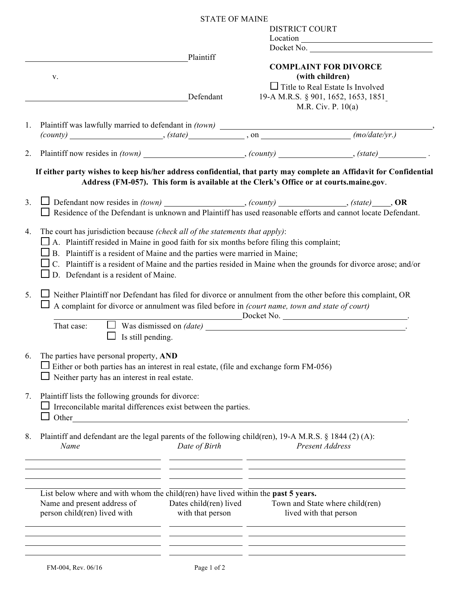|                                                                                                                                                                                                                                                                               | <b>STATE OF MAINE</b> |                                                 |                                                                                                                        |  |
|-------------------------------------------------------------------------------------------------------------------------------------------------------------------------------------------------------------------------------------------------------------------------------|-----------------------|-------------------------------------------------|------------------------------------------------------------------------------------------------------------------------|--|
|                                                                                                                                                                                                                                                                               |                       | <b>DISTRICT COURT</b>                           |                                                                                                                        |  |
|                                                                                                                                                                                                                                                                               |                       |                                                 |                                                                                                                        |  |
|                                                                                                                                                                                                                                                                               |                       |                                                 | Docket No.                                                                                                             |  |
|                                                                                                                                                                                                                                                                               | Plaintiff             |                                                 |                                                                                                                        |  |
| V.                                                                                                                                                                                                                                                                            |                       | <b>COMPLAINT FOR DIVORCE</b><br>(with children) |                                                                                                                        |  |
|                                                                                                                                                                                                                                                                               |                       | $\Box$ Title to Real Estate Is Involved         |                                                                                                                        |  |
|                                                                                                                                                                                                                                                                               | Defendant             |                                                 | 19-A M.R.S. § 901, 1652, 1653, 1851                                                                                    |  |
|                                                                                                                                                                                                                                                                               |                       |                                                 | M.R. Civ. P. $10(a)$                                                                                                   |  |
|                                                                                                                                                                                                                                                                               |                       |                                                 |                                                                                                                        |  |
| 1.                                                                                                                                                                                                                                                                            |                       |                                                 |                                                                                                                        |  |
|                                                                                                                                                                                                                                                                               |                       |                                                 |                                                                                                                        |  |
| 2.                                                                                                                                                                                                                                                                            |                       |                                                 |                                                                                                                        |  |
|                                                                                                                                                                                                                                                                               |                       |                                                 |                                                                                                                        |  |
| If either party wishes to keep his/her address confidential, that party may complete an Affidavit for Confidential                                                                                                                                                            |                       |                                                 | Address (FM-057). This form is available at the Clerk's Office or at courts.maine.gov.                                 |  |
| $\Box$ Residence of the Defendant is unknown and Plaintiff has used reasonable efforts and cannot locate Defendant.                                                                                                                                                           |                       |                                                 |                                                                                                                        |  |
| $\Box$ A. Plaintiff resided in Maine in good faith for six months before filing this complaint;<br>$\Box$ B. Plaintiff is a resident of Maine and the parties were married in Maine;                                                                                          |                       |                                                 |                                                                                                                        |  |
| C. Plaintiff is a resident of Maine and the parties resided in Maine when the grounds for divorce arose; and/or<br>$\Box$ D. Defendant is a resident of Maine.<br>Neither Plaintiff nor Defendant has filed for divorce or annulment from the other before this complaint, OR |                       |                                                 |                                                                                                                        |  |
| A complaint for divorce or annulment was filed before in (court name, town and state of court)                                                                                                                                                                                |                       |                                                 |                                                                                                                        |  |
|                                                                                                                                                                                                                                                                               |                       |                                                 |                                                                                                                        |  |
| That case:                                                                                                                                                                                                                                                                    |                       |                                                 | Docket No.<br>$\Box$ Was dismissed on <i>(date)</i>                                                                    |  |
| Is still pending.                                                                                                                                                                                                                                                             |                       |                                                 |                                                                                                                        |  |
|                                                                                                                                                                                                                                                                               |                       |                                                 |                                                                                                                        |  |
| The parties have personal property, AND                                                                                                                                                                                                                                       |                       |                                                 |                                                                                                                        |  |
| $\Box$ Either or both parties has an interest in real estate, (file and exchange form FM-056)                                                                                                                                                                                 |                       |                                                 |                                                                                                                        |  |
| Neither party has an interest in real estate.                                                                                                                                                                                                                                 |                       |                                                 |                                                                                                                        |  |
|                                                                                                                                                                                                                                                                               |                       |                                                 |                                                                                                                        |  |
| Plaintiff lists the following grounds for divorce:                                                                                                                                                                                                                            |                       |                                                 |                                                                                                                        |  |
| Irreconcilable marital differences exist between the parties.                                                                                                                                                                                                                 |                       |                                                 |                                                                                                                        |  |
|                                                                                                                                                                                                                                                                               |                       |                                                 |                                                                                                                        |  |
| Plaintiff and defendant are the legal parents of the following child(ren), 19-A M.R.S. § 1844 (2) (A):<br>Name                                                                                                                                                                | Date of Birth         |                                                 | Present Address                                                                                                        |  |
| <u> 1990 - Jan James James, politik američki politik († 1900)</u>                                                                                                                                                                                                             |                       |                                                 | <u> 1990 - Andrea San Andrea San Aonaichte ann an t-Aonaichte ann an t-Aonaichte ann an t-Aonaichte ann an t-Aonai</u> |  |
| List below where and with whom the child(ren) have lived within the past 5 years.                                                                                                                                                                                             |                       |                                                 | <u> 1989 - Johann John Stein, marwolaeth a bhannaich an t-Amhainn an t-Amhainn an t-Amhainn an t-Amhainn an t-Amh</u>  |  |
| Name and present address of<br>person child(ren) lived with                                                                                                                                                                                                                   | with that person      |                                                 | Dates child(ren) lived Town and State where child(ren)<br>lived with that person                                       |  |
|                                                                                                                                                                                                                                                                               |                       |                                                 |                                                                                                                        |  |